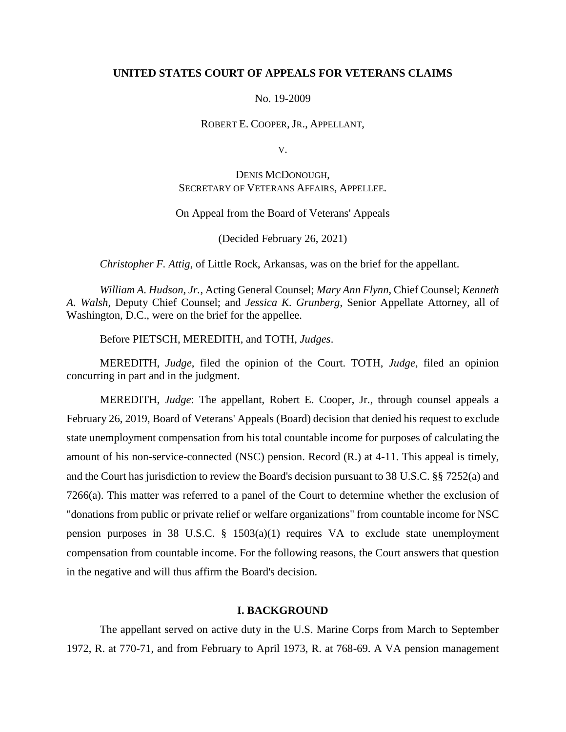## **UNITED STATES COURT OF APPEALS FOR VETERANS CLAIMS**

#### No. 19-2009

#### ROBERT E. COOPER, JR., APPELLANT,

V.

# DENIS MCDONOUGH, SECRETARY OF VETERANS AFFAIRS, APPELLEE.

## On Appeal from the Board of Veterans' Appeals

(Decided February 26, 2021)

*Christopher F. Attig*, of Little Rock, Arkansas, was on the brief for the appellant.

*William A. Hudson, Jr.*, Acting General Counsel; *Mary Ann Flynn*, Chief Counsel; *Kenneth A. Walsh*, Deputy Chief Counsel; and *Jessica K. Grunberg*, Senior Appellate Attorney, all of Washington, D.C., were on the brief for the appellee.

Before PIETSCH, MEREDITH, and TOTH, *Judges*.

MEREDITH, *Judge*, filed the opinion of the Court. TOTH, *Judge*, filed an opinion concurring in part and in the judgment.

MEREDITH, *Judge*: The appellant, Robert E. Cooper, Jr., through counsel appeals a February 26, 2019, Board of Veterans' Appeals (Board) decision that denied his request to exclude state unemployment compensation from his total countable income for purposes of calculating the amount of his non-service-connected (NSC) pension. Record (R.) at 4-11. This appeal is timely, and the Court has jurisdiction to review the Board's decision pursuant to 38 U.S.C. §§ 7252(a) and 7266(a). This matter was referred to a panel of the Court to determine whether the exclusion of "donations from public or private relief or welfare organizations" from countable income for NSC pension purposes in 38 U.S.C. § 1503(a)(1) requires VA to exclude state unemployment compensation from countable income. For the following reasons, the Court answers that question in the negative and will thus affirm the Board's decision.

## **I. BACKGROUND**

The appellant served on active duty in the U.S. Marine Corps from March to September 1972, R. at 770-71, and from February to April 1973, R. at 768-69. A VA pension management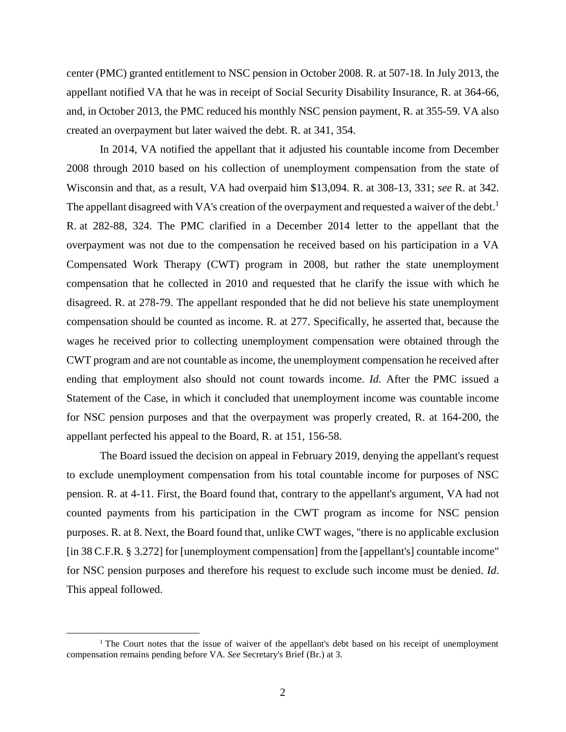center (PMC) granted entitlement to NSC pension in October 2008. R. at 507-18. In July 2013, the appellant notified VA that he was in receipt of Social Security Disability Insurance, R. at 364-66, and, in October 2013, the PMC reduced his monthly NSC pension payment, R. at 355-59. VA also created an overpayment but later waived the debt. R. at 341, 354.

In 2014, VA notified the appellant that it adjusted his countable income from December 2008 through 2010 based on his collection of unemployment compensation from the state of Wisconsin and that, as a result, VA had overpaid him \$13,094. R. at 308-13, 331; *see* R. at 342. The appellant disagreed with VA's creation of the overpayment and requested a waiver of the debt.<sup>1</sup> R. at 282-88, 324. The PMC clarified in a December 2014 letter to the appellant that the overpayment was not due to the compensation he received based on his participation in a VA Compensated Work Therapy (CWT) program in 2008, but rather the state unemployment compensation that he collected in 2010 and requested that he clarify the issue with which he disagreed. R. at 278-79. The appellant responded that he did not believe his state unemployment compensation should be counted as income. R. at 277. Specifically, he asserted that, because the wages he received prior to collecting unemployment compensation were obtained through the CWT program and are not countable as income, the unemployment compensation he received after ending that employment also should not count towards income. *Id.* After the PMC issued a Statement of the Case, in which it concluded that unemployment income was countable income for NSC pension purposes and that the overpayment was properly created, R. at 164-200, the appellant perfected his appeal to the Board, R. at 151, 156-58.

The Board issued the decision on appeal in February 2019, denying the appellant's request to exclude unemployment compensation from his total countable income for purposes of NSC pension. R. at 4-11. First, the Board found that, contrary to the appellant's argument, VA had not counted payments from his participation in the CWT program as income for NSC pension purposes. R. at 8. Next, the Board found that, unlike CWT wages, "there is no applicable exclusion [in 38 C.F.R. § 3.272] for [unemployment compensation] from the [appellant's] countable income" for NSC pension purposes and therefore his request to exclude such income must be denied. *Id*. This appeal followed.

<sup>&</sup>lt;sup>1</sup> The Court notes that the issue of waiver of the appellant's debt based on his receipt of unemployment compensation remains pending before VA. *See* Secretary's Brief (Br.) at 3.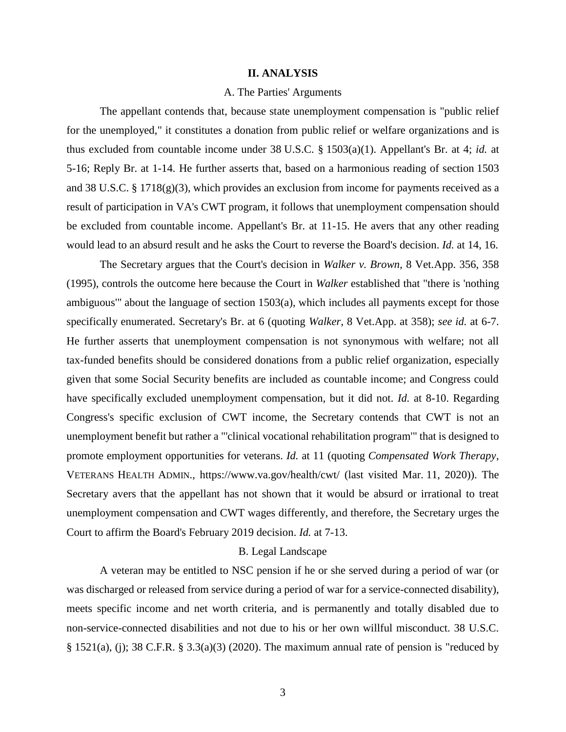#### **II. ANALYSIS**

## A. The Parties' Arguments

The appellant contends that, because state unemployment compensation is "public relief for the unemployed," it constitutes a donation from public relief or welfare organizations and is thus excluded from countable income under 38 U.S.C. § 1503(a)(1). Appellant's Br. at 4; *id.* at 5-16; Reply Br. at 1-14. He further asserts that, based on a harmonious reading of section 1503 and 38 U.S.C. § 1718(g)(3), which provides an exclusion from income for payments received as a result of participation in VA's CWT program, it follows that unemployment compensation should be excluded from countable income. Appellant's Br. at 11-15. He avers that any other reading would lead to an absurd result and he asks the Court to reverse the Board's decision. *Id.* at 14, 16.

The Secretary argues that the Court's decision in *Walker v. Brown*, 8 Vet.App. 356, 358 (1995), controls the outcome here because the Court in *Walker* established that "there is 'nothing ambiguous'" about the language of section 1503(a), which includes all payments except for those specifically enumerated. Secretary's Br. at 6 (quoting *Walker*, 8 Vet.App. at 358); *see id.* at 6-7. He further asserts that unemployment compensation is not synonymous with welfare; not all tax-funded benefits should be considered donations from a public relief organization, especially given that some Social Security benefits are included as countable income; and Congress could have specifically excluded unemployment compensation, but it did not. *Id.* at 8-10. Regarding Congress's specific exclusion of CWT income, the Secretary contends that CWT is not an unemployment benefit but rather a "'clinical vocational rehabilitation program'" that is designed to promote employment opportunities for veterans. *Id.* at 11 (quoting *Compensated Work Therapy*, VETERANS HEALTH ADMIN.,<https://www.va.gov/health/cwt/> (last visited Mar. 11, 2020)). The Secretary avers that the appellant has not shown that it would be absurd or irrational to treat unemployment compensation and CWT wages differently, and therefore, the Secretary urges the Court to affirm the Board's February 2019 decision. *Id.* at 7-13.

## B. Legal Landscape

A veteran may be entitled to NSC pension if he or she served during a period of war (or was discharged or released from service during a period of war for a service-connected disability), meets specific income and net worth criteria, and is permanently and totally disabled due to non-service-connected disabilities and not due to his or her own willful misconduct. 38 U.S.C. § 1521(a), (j); 38 C.F.R. § 3.3(a)(3) (2020). The maximum annual rate of pension is "reduced by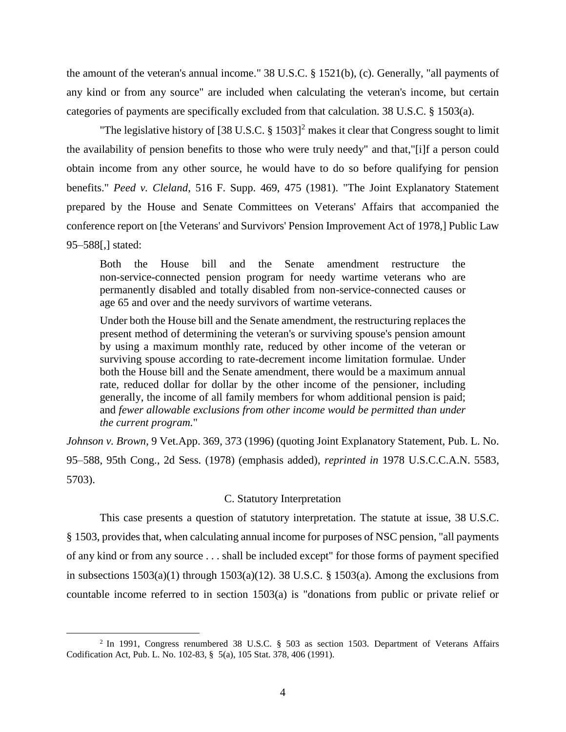the amount of the veteran's annual income." 38 U.S.C. § 1521(b), (c). Generally, "all payments of any kind or from any source" are included when calculating the veteran's income, but certain categories of payments are specifically excluded from that calculation. 38 U.S.C. § 1503(a).

"The legislative history of [38 U.S.C. § 1503]<sup>2</sup> makes it clear that Congress sought to limit the availability of pension benefits to those who were truly needy" and that,"[i]f a person could obtain income from any other source, he would have to do so before qualifying for pension benefits." *Peed v. Cleland*, 516 F. Supp. 469, 475 (1981). "The Joint Explanatory Statement prepared by the House and Senate Committees on Veterans' Affairs that accompanied the conference report on [the Veterans' and Survivors' Pension Improvement Act of 1978,] Public Law 95–588[,] stated:

Both the House bill and the Senate amendment restructure the non-service-connected pension program for needy wartime veterans who are permanently disabled and totally disabled from non-service-connected causes or age 65 and over and the needy survivors of wartime veterans.

Under both the House bill and the Senate amendment, the restructuring replaces the present method of determining the veteran's or surviving spouse's pension amount by using a maximum monthly rate, reduced by other income of the veteran or surviving spouse according to rate-decrement income limitation formulae. Under both the House bill and the Senate amendment, there would be a maximum annual rate, reduced dollar for dollar by the other income of the pensioner, including generally, the income of all family members for whom additional pension is paid; and *fewer allowable exclusions from other income would be permitted than under the current program.*"

*Johnson v. Brown*, 9 Vet.App. 369, 373 (1996) (quoting Joint Explanatory Statement, Pub. L. No. 95–588, 95th Cong., 2d Sess. (1978) (emphasis added), *reprinted in* 1978 U.S.C.C.A.N. 5583, 5703).

## C. Statutory Interpretation

This case presents a question of statutory interpretation. The statute at issue, 38 U.S.C. § 1503, provides that, when calculating annual income for purposes of NSC pension, "all payments of any kind or from any source . . . shall be included except" for those forms of payment specified in subsections  $1503(a)(1)$  through  $1503(a)(12)$ . 38 U.S.C. § 1503(a). Among the exclusions from countable income referred to in section 1503(a) is "donations from public or private relief or

<sup>2</sup> In 1991, Congress renumbered 38 U.S.C. § 503 as section 1503. Department of Veterans Affairs Codification Act, Pub. L. No. 102-83, § 5(a), 105 Stat. 378, 406 (1991).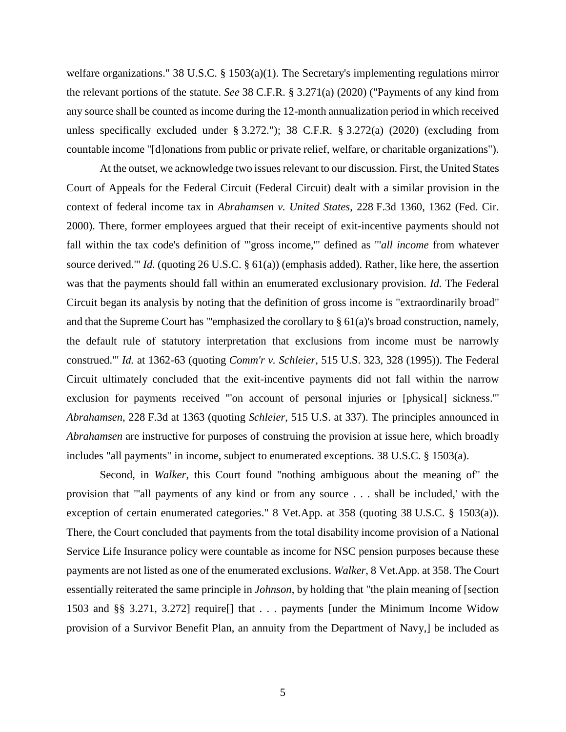welfare organizations." 38 U.S.C. § 1503(a)(1). The Secretary's implementing regulations mirror the relevant portions of the statute. *See* 38 C.F.R. § 3.271(a) (2020) ("Payments of any kind from any source shall be counted as income during the 12-month annualization period in which received unless specifically excluded under § 3.272."); 38 C.F.R. § 3.272(a) (2020) (excluding from countable income "[d]onations from public or private relief, welfare, or charitable organizations").

At the outset, we acknowledge two issues relevant to our discussion. First, the United States Court of Appeals for the Federal Circuit (Federal Circuit) dealt with a similar provision in the context of federal income tax in *Abrahamsen v. United States*, 228 F.3d 1360, 1362 (Fed. Cir. 2000). There, former employees argued that their receipt of exit-incentive payments should not fall within the tax code's definition of "'gross income,'" defined as "'*all income* from whatever source derived.'" *Id.* (quoting 26 U.S.C. § 61(a)) (emphasis added). Rather, like here, the assertion was that the payments should fall within an enumerated exclusionary provision. *Id.* The Federal Circuit began its analysis by noting that the definition of gross income is "extraordinarily broad" and that the Supreme Court has "'emphasized the corollary to § 61(a)'s broad construction, namely, the default rule of statutory interpretation that exclusions from income must be narrowly construed.'" *Id.* at 1362-63 (quoting *Comm'r v. Schleier*, 515 U.S. 323, 328 (1995)). The Federal Circuit ultimately concluded that the exit-incentive payments did not fall within the narrow exclusion for payments received "'on account of personal injuries or [physical] sickness.'" *Abrahamsen*, 228 F.3d at 1363 (quoting *Schleier*, 515 U.S. at 337). The principles announced in *Abrahamsen* are instructive for purposes of construing the provision at issue here, which broadly includes "all payments" in income, subject to enumerated exceptions. 38 U.S.C. § 1503(a).

Second, in *Walker*, this Court found "nothing ambiguous about the meaning of" the provision that "'all payments of any kind or from any source . . . shall be included,' with the exception of certain enumerated categories." 8 Vet.App. at 358 (quoting 38 U.S.C. § 1503(a)). There, the Court concluded that payments from the total disability income provision of a National Service Life Insurance policy were countable as income for NSC pension purposes because these payments are not listed as one of the enumerated exclusions. *Walker*, 8 Vet.App. at 358. The Court essentially reiterated the same principle in *Johnson*, by holding that "the plain meaning of [section 1503 and §§ 3.271, 3.272] require[] that . . . payments [under the Minimum Income Widow provision of a Survivor Benefit Plan, an annuity from the Department of Navy,] be included as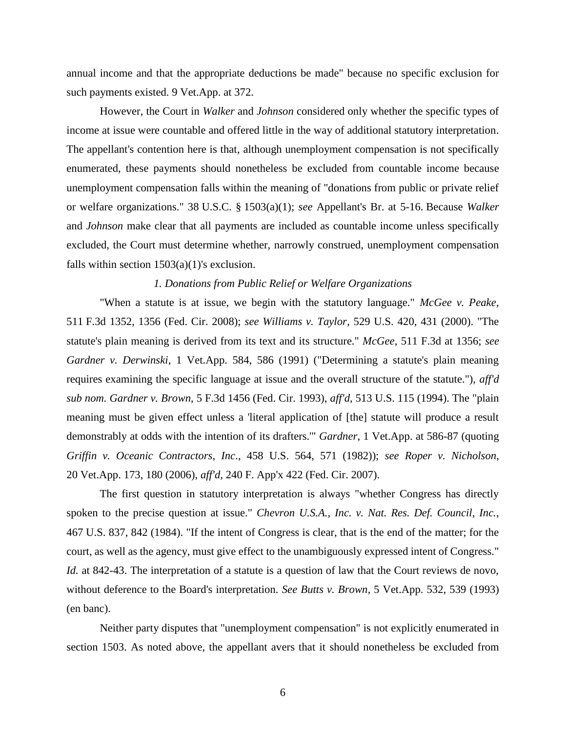annual income and that the appropriate deductions be made" because no specific exclusion for such payments existed. 9 Vet.App. at 372.

However, the Court in *Walker* and *Johnson* considered only whether the specific types of income at issue were countable and offered little in the way of additional statutory interpretation. The appellant's contention here is that, although unemployment compensation is not specifically enumerated, these payments should nonetheless be excluded from countable income because unemployment compensation falls within the meaning of "donations from public or private relief or welfare organizations." 38 U.S.C. § 1503(a)(1); *see* Appellant's Br. at 5-16. Because *Walker*  and *Johnson* make clear that all payments are included as countable income unless specifically excluded, the Court must determine whether, narrowly construed, unemployment compensation falls within section  $1503(a)(1)$ 's exclusion.

#### *1. Donations from Public Relief or Welfare Organizations*

"When a statute is at issue, we begin with the statutory language." *McGee v. Peake*, 511 F.3d 1352, 1356 (Fed. Cir. 2008); *see Williams v. Taylor*, 529 U.S. 420, 431 (2000). "The statute's plain meaning is derived from its text and its structure." *McGee*, 511 F.3d at 1356; *see Gardner v. Derwinski*, 1 Vet.App. 584, 586 (1991) ("Determining a statute's plain meaning requires examining the specific language at issue and the overall structure of the statute."), *aff'd sub nom. Gardner v. Brown*, 5 F.3d 1456 (Fed. Cir. 1993), *aff'd*, 513 U.S. 115 (1994). The "plain meaning must be given effect unless a 'literal application of [the] statute will produce a result demonstrably at odds with the intention of its drafters.'" *Gardner*, 1 Vet.App. at 586-87 (quoting *Griffin v. Oceanic Contractors, Inc*., 458 U.S. 564, 571 (1982)); *see Roper v. Nicholson*, 20 Vet.App. 173, 180 (2006), *aff'd*, 240 F. App'x 422 (Fed. Cir. 2007).

The first question in statutory interpretation is always "whether Congress has directly spoken to the precise question at issue." *Chevron U.S.A., Inc. v. Nat. Res. Def. Council, Inc.*, 467 U.S. 837, 842 (1984). "If the intent of Congress is clear, that is the end of the matter; for the court, as well as the agency, must give effect to the unambiguously expressed intent of Congress." *Id.* at 842-43. The interpretation of a statute is a question of law that the Court reviews de novo, without deference to the Board's interpretation. *See Butts v. Brown*, 5 Vet.App. 532, 539 (1993) (en banc).

Neither party disputes that "unemployment compensation" is not explicitly enumerated in section 1503. As noted above, the appellant avers that it should nonetheless be excluded from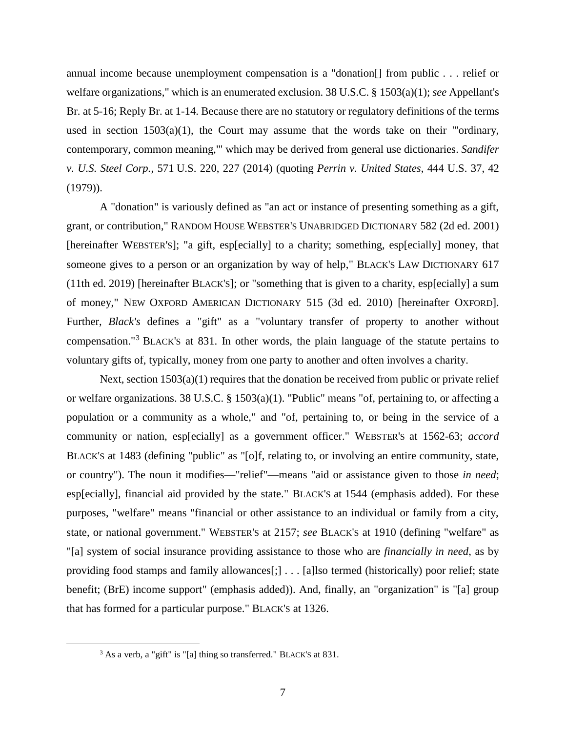annual income because unemployment compensation is a "donation[] from public . . . relief or welfare organizations," which is an enumerated exclusion. 38 U.S.C. § 1503(a)(1); *see* Appellant's Br. at 5-16; Reply Br. at 1-14. Because there are no statutory or regulatory definitions of the terms used in section  $1503(a)(1)$ , the Court may assume that the words take on their "'ordinary, contemporary, common meaning,'" which may be derived from general use dictionaries. *Sandifer v. U.S. Steel Corp.*, 571 U.S. 220, 227 (2014) (quoting *Perrin v. United States*, 444 U.S. 37, 42 (1979)).

A "donation" is variously defined as "an act or instance of presenting something as a gift, grant, or contribution," RANDOM HOUSE WEBSTER'S UNABRIDGED DICTIONARY 582 (2d ed. 2001) [hereinafter WEBSTER'S]; "a gift, esp[ecially] to a charity; something, esp[ecially] money, that someone gives to a person or an organization by way of help," BLACK'S LAW DICTIONARY 617 (11th ed. 2019) [hereinafter BLACK'S]; or "something that is given to a charity, esp[ecially] a sum of money," NEW OXFORD AMERICAN DICTIONARY 515 (3d ed. 2010) [hereinafter OXFORD]. Further, *Black's* defines a "gift" as a "voluntary transfer of property to another without compensation."<sup>3</sup> BLACK'S at 831. In other words, the plain language of the statute pertains to voluntary gifts of, typically, money from one party to another and often involves a charity.

Next, section 1503(a)(1) requires that the donation be received from public or private relief or welfare organizations. 38 U.S.C. § 1503(a)(1). "Public" means "of, pertaining to, or affecting a population or a community as a whole," and "of, pertaining to, or being in the service of a community or nation, esp[ecially] as a government officer." WEBSTER'S at 1562-63; *accord* BLACK'S at 1483 (defining "public" as "[o]f, relating to, or involving an entire community, state, or country"). The noun it modifies—"relief"—means "aid or assistance given to those *in need*; esp[ecially], financial aid provided by the state." BLACK'S at 1544 (emphasis added). For these purposes, "welfare" means "financial or other assistance to an individual or family from a city, state, or national government." WEBSTER'S at 2157; *see* BLACK'S at 1910 (defining "welfare" as "[a] system of social insurance providing assistance to those who are *financially in need*, as by providing food stamps and family allowances[;] . . . [a]lso termed (historically) poor relief; state benefit; (BrE) income support" (emphasis added)). And, finally, an "organization" is "[a] group that has formed for a particular purpose." BLACK'S at 1326.

<sup>3</sup> As a verb, a "gift" is "[a] thing so transferred." BLACK'S at 831.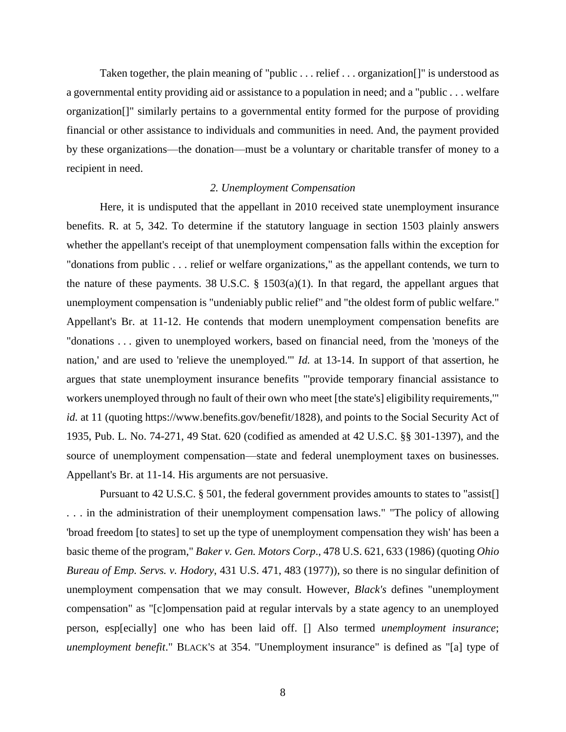Taken together, the plain meaning of "public . . . relief . . . organization[]" is understood as a governmental entity providing aid or assistance to a population in need; and a "public . . . welfare organization[]" similarly pertains to a governmental entity formed for the purpose of providing financial or other assistance to individuals and communities in need. And, the payment provided by these organizations—the donation—must be a voluntary or charitable transfer of money to a recipient in need.

## *2. Unemployment Compensation*

Here, it is undisputed that the appellant in 2010 received state unemployment insurance benefits. R. at 5, 342. To determine if the statutory language in section 1503 plainly answers whether the appellant's receipt of that unemployment compensation falls within the exception for "donations from public . . . relief or welfare organizations," as the appellant contends, we turn to the nature of these payments. 38 U.S.C.  $\S$  1503(a)(1). In that regard, the appellant argues that unemployment compensation is "undeniably public relief" and "the oldest form of public welfare." Appellant's Br. at 11-12. He contends that modern unemployment compensation benefits are "donations . . . given to unemployed workers, based on financial need, from the 'moneys of the nation,' and are used to 'relieve the unemployed.'" *Id.* at 13-14. In support of that assertion, he argues that state unemployment insurance benefits "'provide temporary financial assistance to workers unemployed through no fault of their own who meet [the state's] eligibility requirements,'" *id.* at 11 (quoting https://www.benefits.gov/benefit/1828), and points to the Social Security Act of 1935, Pub. L. No. 74-271, 49 Stat. 620 (codified as amended at 42 U.S.C. §§ 301-1397), and the source of unemployment compensation—state and federal unemployment taxes on businesses. Appellant's Br. at 11-14. His arguments are not persuasive.

Pursuant to 42 U.S.C. § 501, the federal government provides amounts to states to "assist. . . . in the administration of their unemployment compensation laws." "The policy of allowing 'broad freedom [to states] to set up the type of unemployment compensation they wish' has been a basic theme of the program," *Baker v. Gen. Motors Corp*., 478 U.S. 621, 633 (1986) (quoting *Ohio Bureau of Emp. Servs. v. Hodory*, 431 U.S. 471, 483 (1977)), so there is no singular definition of unemployment compensation that we may consult. However, *Black's* defines "unemployment compensation" as "[c]ompensation paid at regular intervals by a state agency to an unemployed person, esp[ecially] one who has been laid off. [] Also termed *unemployment insurance*; *unemployment benefit*." BLACK'S at 354. "Unemployment insurance" is defined as "[a] type of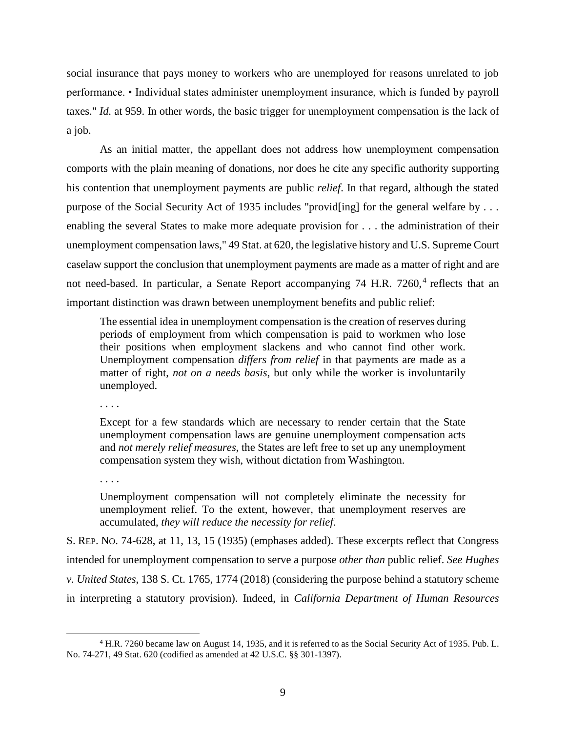social insurance that pays money to workers who are unemployed for reasons unrelated to job performance. • Individual states administer unemployment insurance, which is funded by payroll taxes." *Id.* at 959. In other words, the basic trigger for unemployment compensation is the lack of a job.

As an initial matter, the appellant does not address how unemployment compensation comports with the plain meaning of donations, nor does he cite any specific authority supporting his contention that unemployment payments are public *relief*. In that regard, although the stated purpose of the Social Security Act of 1935 includes "provid[ing] for the general welfare by . . . enabling the several States to make more adequate provision for . . . the administration of their unemployment compensation laws," 49 Stat. at 620, the legislative history and U.S. Supreme Court caselaw support the conclusion that unemployment payments are made as a matter of right and are not need-based. In particular, a Senate Report accompanying 74 H.R. 7260,<sup>4</sup> reflects that an important distinction was drawn between unemployment benefits and public relief:

The essential idea in unemployment compensation is the creation of reserves during periods of employment from which compensation is paid to workmen who lose their positions when employment slackens and who cannot find other work. Unemployment compensation *differs from relief* in that payments are made as a matter of right, *not on a needs basis*, but only while the worker is involuntarily unemployed.

. . . .

Except for a few standards which are necessary to render certain that the State unemployment compensation laws are genuine unemployment compensation acts and *not merely relief measures*, the States are left free to set up any unemployment compensation system they wish, without dictation from Washington.

. . . .

 $\overline{a}$ 

Unemployment compensation will not completely eliminate the necessity for unemployment relief. To the extent, however, that unemployment reserves are accumulated, *they will reduce the necessity for relief*.

S. REP. NO. 74-628, at 11, 13, 15 (1935) (emphases added). These excerpts reflect that Congress intended for unemployment compensation to serve a purpose *other than* public relief. *See Hughes v. United States*, 138 S. Ct. 1765, 1774 (2018) (considering the purpose behind a statutory scheme in interpreting a statutory provision). Indeed, in *California Department of Human Resources*

<sup>4</sup> H.R. 7260 became law on August 14, 1935, and it is referred to as the Social Security Act of 1935. Pub. L. No. 74-271, 49 Stat. 620 (codified as amended at 42 U.S.C. §§ 301-1397).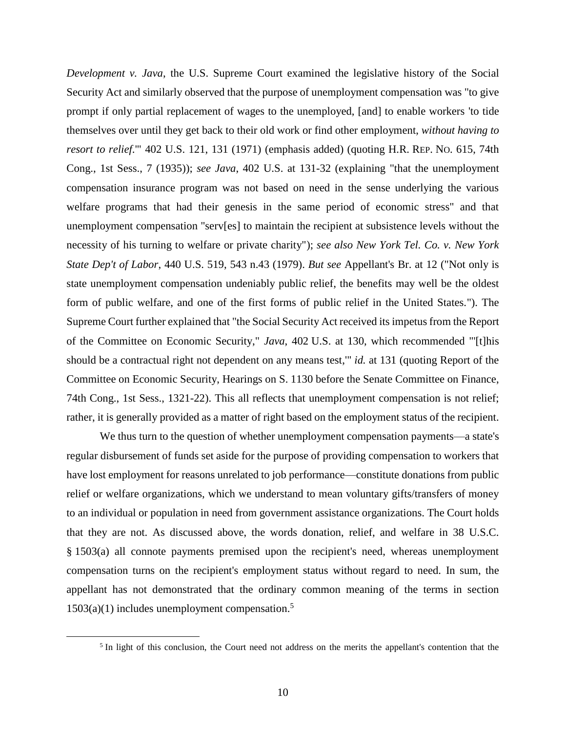*Development v. Java*, the U.S. Supreme Court examined the legislative history of the Social Security Act and similarly observed that the purpose of unemployment compensation was "to give prompt if only partial replacement of wages to the unemployed, [and] to enable workers 'to tide themselves over until they get back to their old work or find other employment, *without having to resort to relief*.'" 402 U.S. 121, 131 (1971) (emphasis added) (quoting H.R. REP. NO. 615, 74th Cong., 1st Sess., 7 (1935)); *see Java*, 402 U.S. at 131-32 (explaining "that the unemployment compensation insurance program was not based on need in the sense underlying the various welfare programs that had their genesis in the same period of economic stress" and that unemployment compensation "serv[es] to maintain the recipient at subsistence levels without the necessity of his turning to welfare or private charity"); *see also New York Tel. Co. v. New York State Dep't of Labor*, 440 U.S. 519, 543 n.43 (1979). *But see* Appellant's Br. at 12 ("Not only is state unemployment compensation undeniably public relief, the benefits may well be the oldest form of public welfare, and one of the first forms of public relief in the United States."). The Supreme Court further explained that "the Social Security Act received its impetus from the Report of the Committee on Economic Security," *Java*, 402 U.S. at 130, which recommended "'[t]his should be a contractual right not dependent on any means test,'" *id.* at 131 (quoting Report of the Committee on Economic Security, Hearings on S. 1130 before the Senate Committee on Finance, 74th Cong., 1st Sess., 1321-22). This all reflects that unemployment compensation is not relief; rather, it is generally provided as a matter of right based on the employment status of the recipient.

We thus turn to the question of whether unemployment compensation payments—a state's regular disbursement of funds set aside for the purpose of providing compensation to workers that have lost employment for reasons unrelated to job performance—constitute donations from public relief or welfare organizations, which we understand to mean voluntary gifts/transfers of money to an individual or population in need from government assistance organizations. The Court holds that they are not. As discussed above, the words donation, relief, and welfare in 38 U.S.C. § 1503(a) all connote payments premised upon the recipient's need, whereas unemployment compensation turns on the recipient's employment status without regard to need. In sum, the appellant has not demonstrated that the ordinary common meaning of the terms in section  $1503(a)(1)$  includes unemployment compensation.<sup>5</sup>

 $<sup>5</sup>$  In light of this conclusion, the Court need not address on the merits the appellant's contention that the</sup>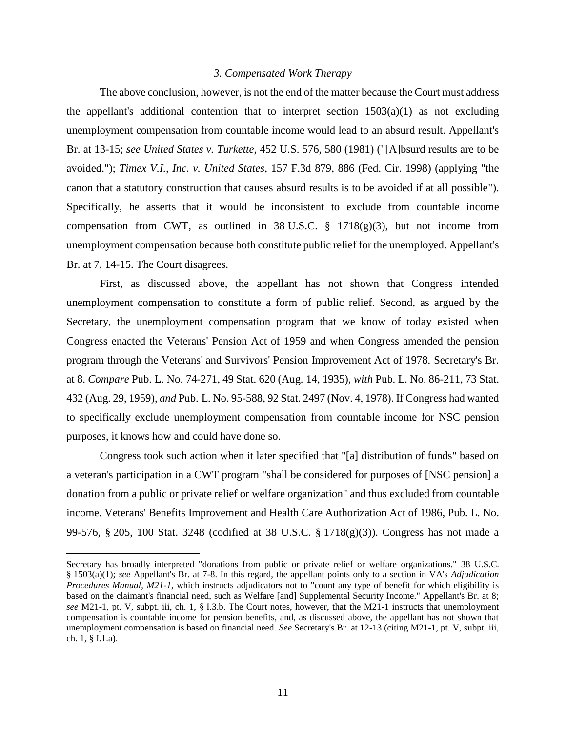## *3. Compensated Work Therapy*

The above conclusion, however, is not the end of the matter because the Court must address the appellant's additional contention that to interpret section  $1503(a)(1)$  as not excluding unemployment compensation from countable income would lead to an absurd result. Appellant's Br. at 13-15; *see United States v. Turkette*, 452 U.S. 576, 580 (1981) ("[A]bsurd results are to be avoided."); *Timex V.I., Inc. v. United States*, 157 F.3d 879, 886 (Fed. Cir. 1998) (applying "the canon that a statutory construction that causes absurd results is to be avoided if at all possible"). Specifically, he asserts that it would be inconsistent to exclude from countable income compensation from CWT, as outlined in 38 U.S.C.  $\S$  1718(g)(3), but not income from unemployment compensation because both constitute public relief for the unemployed. Appellant's Br. at 7, 14-15. The Court disagrees.

First, as discussed above, the appellant has not shown that Congress intended unemployment compensation to constitute a form of public relief. Second, as argued by the Secretary, the unemployment compensation program that we know of today existed when Congress enacted the Veterans' Pension Act of 1959 and when Congress amended the pension program through the Veterans' and Survivors' Pension Improvement Act of 1978. Secretary's Br. at 8. *Compare* Pub. L. No. 74-271, 49 Stat. 620 (Aug. 14, 1935), *with* Pub. L. No. 86-211, 73 Stat. 432 (Aug. 29, 1959), *and* Pub. L. No. 95-588, 92 Stat. 2497 (Nov. 4, 1978). If Congress had wanted to specifically exclude unemployment compensation from countable income for NSC pension purposes, it knows how and could have done so.

Congress took such action when it later specified that "[a] distribution of funds" based on a veteran's participation in a CWT program "shall be considered for purposes of [NSC pension] a donation from a public or private relief or welfare organization" and thus excluded from countable income. Veterans' Benefits Improvement and Health Care Authorization Act of 1986, Pub. L. No. 99-576, § 205, 100 Stat. 3248 (codified at 38 U.S.C. § 1718(g)(3)). Congress has not made a

Secretary has broadly interpreted "donations from public or private relief or welfare organizations." 38 U.S.C. § 1503(a)(1); *see* Appellant's Br. at 7-8. In this regard, the appellant points only to a section in VA's *Adjudication Procedures Manual, M21-1*, which instructs adjudicators not to "count any type of benefit for which eligibility is based on the claimant's financial need, such as Welfare [and] Supplemental Security Income." Appellant's Br. at 8; *see* M21-1, pt. V, subpt. iii, ch. 1, § I.3.b. The Court notes, however, that the M21-1 instructs that unemployment compensation is countable income for pension benefits, and, as discussed above, the appellant has not shown that unemployment compensation is based on financial need. *See* Secretary's Br. at 12-13 (citing M21-1, pt. V, subpt. iii, ch. 1, § I.1.a).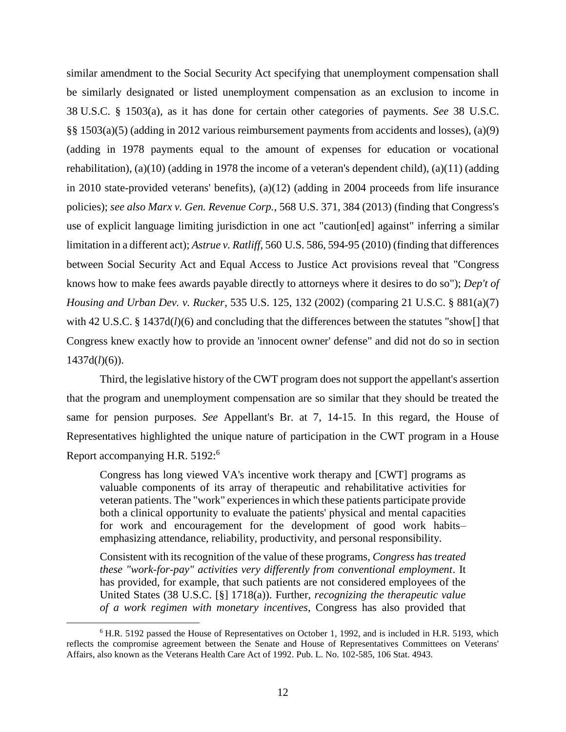similar amendment to the Social Security Act specifying that unemployment compensation shall be similarly designated or listed unemployment compensation as an exclusion to income in 38 U.S.C. § 1503(a), as it has done for certain other categories of payments. *See* 38 U.S.C. §§ 1503(a)(5) (adding in 2012 various reimbursement payments from accidents and losses), (a)(9) (adding in 1978 payments equal to the amount of expenses for education or vocational rehabilitation), (a)(10) (adding in 1978 the income of a veteran's dependent child), (a)(11) (adding in 2010 state-provided veterans' benefits), (a)(12) (adding in 2004 proceeds from life insurance policies); *see also [Marx v. Gen. Revenue Corp.](https://1.next.westlaw.com/Link/Document/FullText?findType=Y&serNum=2029935440&pubNum=0000780&originatingDoc=I5164f0904ffd11e89868e3d0ed3e7ebe&refType=RP&fi=co_pp_sp_780_384&originationContext=document&transitionType=DocumentItem&contextData=(sc.Search)#co_pp_sp_780_384)*, 568 U.S. 371, 384 (2013) (finding that Congress's use of explicit language limiting jurisdiction in one act "caution[ed] against" inferring a similar limitation in a different act); *Astrue v. Ratliff*, 560 [U.S. 586, 594-95 \(2010\)](https://1.next.westlaw.com/Link/Document/FullText?findType=Y&serNum=2022292881&pubNum=0000780&originatingDoc=I5164f0904ffd11e89868e3d0ed3e7ebe&refType=RP&fi=co_pp_sp_780_594&originationContext=document&transitionType=DocumentItem&contextData=(sc.Search)#co_pp_sp_780_594) (finding that differences between Social Security Act and Equal Access to Justice Act provisions reveal that "Congress knows how to make fees awards payable directly to attorneys where it desires to do so"); *[Dep't of](https://1.next.westlaw.com/Link/Document/FullText?findType=Y&serNum=2002204414&pubNum=0000780&originatingDoc=I5164f0904ffd11e89868e3d0ed3e7ebe&refType=RP&fi=co_pp_sp_780_132&originationContext=document&transitionType=DocumentItem&contextData=(sc.Search)#co_pp_sp_780_132)  [Housing and Urban Dev. v. Rucker](https://1.next.westlaw.com/Link/Document/FullText?findType=Y&serNum=2002204414&pubNum=0000780&originatingDoc=I5164f0904ffd11e89868e3d0ed3e7ebe&refType=RP&fi=co_pp_sp_780_132&originationContext=document&transitionType=DocumentItem&contextData=(sc.Search)#co_pp_sp_780_132)*, 535 U.S. 125, 132 (2002) (comparing [21 U.S.C. § 881\(a\)\(7\)](https://1.next.westlaw.com/Link/Document/FullText?findType=L&pubNum=1000546&cite=21USCAS881&originatingDoc=I5164f0904ffd11e89868e3d0ed3e7ebe&refType=RB&originationContext=document&transitionType=DocumentItem&contextData=(sc.Search)#co_pp_36f10000408d4) with [42 U.S.C. § 1437d\(](https://1.next.westlaw.com/Link/Document/FullText?findType=L&pubNum=1000546&cite=42USCAS1437D&originatingDoc=I5164f0904ffd11e89868e3d0ed3e7ebe&refType=LQ&originationContext=document&transitionType=DocumentItem&contextData=(sc.Search))*l*)(6) and concluding that the differences between the statutes "show[] that Congress knew exactly how to provide an 'innocent owner' defense" and did not do so in [section](https://1.next.westlaw.com/Link/Document/FullText?findType=L&pubNum=1000546&cite=42USCAS1437D&originatingDoc=I5164f0904ffd11e89868e3d0ed3e7ebe&refType=LQ&originationContext=document&transitionType=DocumentItem&contextData=(sc.Search))   $1437d(l)(6)$  $1437d(l)(6)$ ).

Third, the legislative history of the CWT program does not support the appellant's assertion that the program and unemployment compensation are so similar that they should be treated the same for pension purposes. *See* Appellant's Br. at 7, 14-15. In this regard, the House of Representatives highlighted the unique nature of participation in the CWT program in a House Report accompanying H.R. 5192:<sup>6</sup>

Congress has long viewed VA's incentive work therapy and [CWT] programs as valuable components of its array of therapeutic and rehabilitative activities for veteran patients. The "work" experiences in which these patients participate provide both a clinical opportunity to evaluate the patients' physical and mental capacities for work and encouragement for the development of good work habits– emphasizing attendance, reliability, productivity, and personal responsibility.

Consistent with its recognition of the value of these programs, *Congress has treated these "work-for-pay" activities very differently from conventional employment*. It has provided, for example, that such patients are not considered employees of the United States (38 U.S.C. [§] 1718(a)). Further, *recognizing the therapeutic value of a work regimen with monetary incentives*, Congress has also provided that

<sup>6</sup> H.R. 5192 passed the House of Representatives on October 1, 1992, and is included in H.R. 5193, which reflects the compromise agreement between the Senate and House of Representatives Committees on Veterans' Affairs, also known as the Veterans Health Care Act of 1992. Pub. L. No. 102-585, 106 Stat. 4943.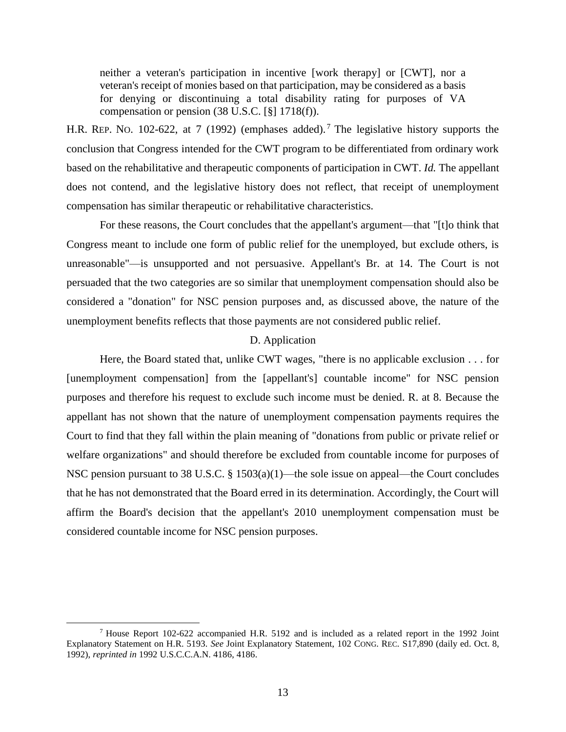neither a veteran's participation in incentive [work therapy] or [CWT], nor a veteran's receipt of monies based on that participation, may be considered as a basis for denying or discontinuing a total disability rating for purposes of VA compensation or pension (38 U.S.C. [§] 1718(f)).

H.R. REP. NO. 102-622, at 7 (1992) (emphases added).<sup>7</sup> The legislative history supports the conclusion that Congress intended for the CWT program to be differentiated from ordinary work based on the rehabilitative and therapeutic components of participation in CWT. *Id.* The appellant does not contend, and the legislative history does not reflect, that receipt of unemployment compensation has similar therapeutic or rehabilitative characteristics.

For these reasons, the Court concludes that the appellant's argument—that "[t]o think that Congress meant to include one form of public relief for the unemployed, but exclude others, is unreasonable"—is unsupported and not persuasive. Appellant's Br. at 14. The Court is not persuaded that the two categories are so similar that unemployment compensation should also be considered a "donation" for NSC pension purposes and, as discussed above, the nature of the unemployment benefits reflects that those payments are not considered public relief.

# D. Application

Here, the Board stated that, unlike CWT wages, "there is no applicable exclusion . . . for [unemployment compensation] from the [appellant's] countable income" for NSC pension purposes and therefore his request to exclude such income must be denied. R. at 8. Because the appellant has not shown that the nature of unemployment compensation payments requires the Court to find that they fall within the plain meaning of "donations from public or private relief or welfare organizations" and should therefore be excluded from countable income for purposes of NSC pension pursuant to 38 U.S.C. § 1503(a)(1)—the sole issue on appeal—the Court concludes that he has not demonstrated that the Board erred in its determination. Accordingly, the Court will affirm the Board's decision that the appellant's 2010 unemployment compensation must be considered countable income for NSC pension purposes.

<sup>7</sup> House Report 102-622 accompanied H.R. 5192 and is included as a related report in the 1992 Joint Explanatory Statement on H.R. 5193. *See* Joint Explanatory Statement, 102 CONG. REC. S17,890 (daily ed. Oct. 8, 1992), *reprinted in* 1992 U.S.C.C.A.N. 4186, 4186.